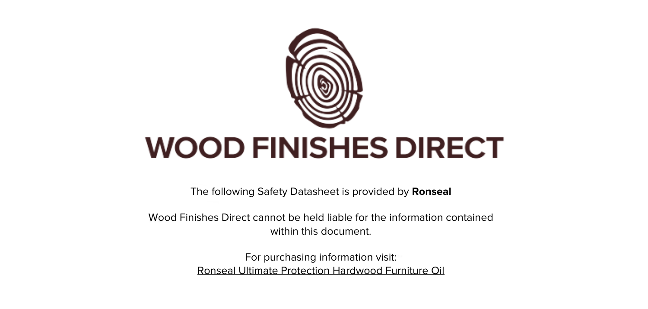

The following Safety Datasheet is provided by **Ronseal**

Wood Finishes Direct cannot be held liable for the information contained within this document.

> For purchasing information visit: [Ronseal Ultimate Protection Hardwood Furniture Oil](https://www.wood-finishes-direct.com/product/ronseal-ultimate-protection-hardwood-furniture-oil)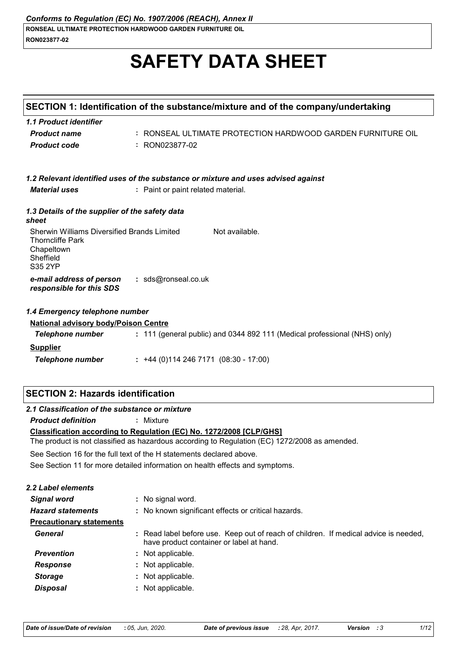# **SAFETY DATA SHEET**

|                                                                                                                                    | SECTION 1: Identification of the substance/mixture and of the company/undertaking                                                                                    |
|------------------------------------------------------------------------------------------------------------------------------------|----------------------------------------------------------------------------------------------------------------------------------------------------------------------|
| 1.1 Product identifier                                                                                                             |                                                                                                                                                                      |
| <b>Product name</b>                                                                                                                | : RONSEAL ULTIMATE PROTECTION HARDWOOD GARDEN FURNITURE OIL                                                                                                          |
| <b>Product code</b>                                                                                                                | : RON023877-02                                                                                                                                                       |
|                                                                                                                                    |                                                                                                                                                                      |
|                                                                                                                                    | 1.2 Relevant identified uses of the substance or mixture and uses advised against                                                                                    |
| <b>Material uses</b>                                                                                                               | : Paint or paint related material.                                                                                                                                   |
| 1.3 Details of the supplier of the safety data<br>sheet                                                                            |                                                                                                                                                                      |
| Sherwin Williams Diversified Brands Limited<br><b>Thorncliffe Park</b><br>Chapeltown<br>Sheffield<br><b>S35 2YP</b>                | Not available.                                                                                                                                                       |
| e-mail address of person<br>responsible for this SDS                                                                               | : sds@ronseal.co.uk                                                                                                                                                  |
| 1.4 Emergency telephone number                                                                                                     |                                                                                                                                                                      |
| <b>National advisory body/Poison Centre</b>                                                                                        |                                                                                                                                                                      |
|                                                                                                                                    |                                                                                                                                                                      |
| <b>Telephone number</b>                                                                                                            | : 111 (general public) and 0344 892 111 (Medical professional (NHS) only)                                                                                            |
| <b>Supplier</b>                                                                                                                    |                                                                                                                                                                      |
| <b>Telephone number</b>                                                                                                            | $: +44(0)1142467171(08:30 - 17:00)$                                                                                                                                  |
|                                                                                                                                    |                                                                                                                                                                      |
|                                                                                                                                    |                                                                                                                                                                      |
| <b>Product definition</b>                                                                                                          | : Mixture                                                                                                                                                            |
|                                                                                                                                    | Classification according to Regulation (EC) No. 1272/2008 [CLP/GHS]<br>The product is not classified as hazardous according to Regulation (EC) 1272/2008 as amended. |
|                                                                                                                                    | See Section 16 for the full text of the H statements declared above.                                                                                                 |
|                                                                                                                                    | See Section 11 for more detailed information on health effects and symptoms.                                                                                         |
|                                                                                                                                    |                                                                                                                                                                      |
| <b>Signal word</b>                                                                                                                 | : No signal word.                                                                                                                                                    |
| <b>Hazard statements</b>                                                                                                           | : No known significant effects or critical hazards.                                                                                                                  |
| <b>Precautionary statements</b>                                                                                                    |                                                                                                                                                                      |
| <b>General</b>                                                                                                                     | : Read label before use. Keep out of reach of children. If medical advice is needed,<br>have product container or label at hand.                                     |
| <b>Prevention</b>                                                                                                                  | : Not applicable.                                                                                                                                                    |
| <b>Response</b>                                                                                                                    | : Not applicable.                                                                                                                                                    |
| <b>SECTION 2: Hazards identification</b><br>2.1 Classification of the substance or mixture<br>2.2 Label elements<br><b>Storage</b> | : Not applicable.                                                                                                                                                    |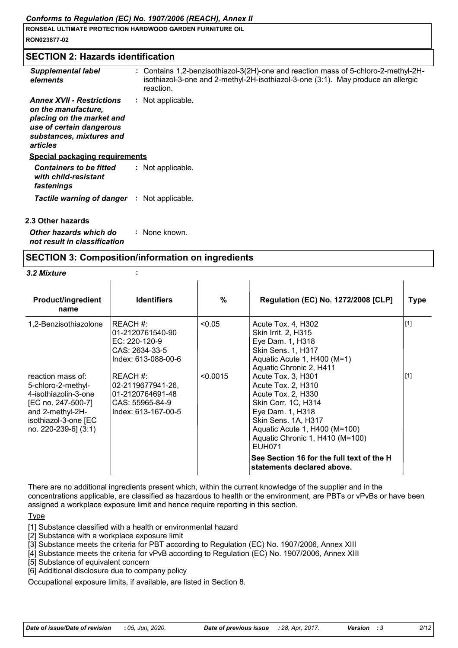## **SECTION 2: Hazards identification**

| <b>Supplemental label</b><br>elements                                                                                                                    | : Contains 1,2-benzisothiazol-3(2H)-one and reaction mass of 5-chloro-2-methyl-2H-<br>isothiazol-3-one and 2-methyl-2H-isothiazol-3-one (3:1). May produce an allergic<br>reaction. |
|----------------------------------------------------------------------------------------------------------------------------------------------------------|-------------------------------------------------------------------------------------------------------------------------------------------------------------------------------------|
| <b>Annex XVII - Restrictions</b><br>on the manufacture.<br>placing on the market and<br>use of certain dangerous<br>substances, mixtures and<br>articles | : Not applicable.                                                                                                                                                                   |
| Special packaging requirements                                                                                                                           |                                                                                                                                                                                     |
| <b>Containers to be fitted</b><br>with child-resistant<br>fastenings                                                                                     | : Not applicable.                                                                                                                                                                   |
| <b>Tactile warning of danger</b>                                                                                                                         | : Not applicable.                                                                                                                                                                   |
| 2.3 Other hazards                                                                                                                                        |                                                                                                                                                                                     |

*Other hazards which do not result in classification* **:** None known.

## **SECTION 3: Composition/information on ingredients**

#### *3.2 Mixture* **:**

| <b>Product/ingredient</b><br>name                                                                                                                         | <b>Identifiers</b>                                                                          | %        | <b>Regulation (EC) No. 1272/2008 [CLP]</b>                                                                                                                                                                                                                                                       | <b>Type</b> |
|-----------------------------------------------------------------------------------------------------------------------------------------------------------|---------------------------------------------------------------------------------------------|----------|--------------------------------------------------------------------------------------------------------------------------------------------------------------------------------------------------------------------------------------------------------------------------------------------------|-------------|
| 1,2-Benzisothiazolone                                                                                                                                     | REACH #:<br>01-2120761540-90<br>$EC: 220-120-9$<br>CAS: 2634-33-5<br>Index: 613-088-00-6    | < 0.05   | Acute Tox. 4, H302<br><b>Skin Irrit. 2, H315</b><br>Eye Dam. 1, H318<br><b>Skin Sens. 1, H317</b><br>Aquatic Acute 1, H400 (M=1)<br>Aquatic Chronic 2, H411                                                                                                                                      | $[1]$       |
| reaction mass of:<br>5-chloro-2-methyl-<br>4-isothiazolin-3-one<br>[EC no. 247-500-7]<br>and 2-methyl-2H-<br>isothiazol-3-one [EC<br>no. 220-239-6] (3:1) | REACH #:<br>02-2119677941-26,<br>01-2120764691-48<br>CAS: 55965-84-9<br>Index: 613-167-00-5 | < 0.0015 | Acute Tox. 3, H301<br>Acute Tox. 2, H310<br>Acute Tox. 2, H330<br>Skin Corr. 1C, H314<br>Eye Dam. 1, H318<br>Skin Sens. 1A, H317<br>Aquatic Acute 1, H400 (M=100)<br>Aquatic Chronic 1, H410 (M=100)<br><b>EUH071</b><br>See Section 16 for the full text of the H<br>statements declared above. | $[1]$       |

There are no additional ingredients present which, within the current knowledge of the supplier and in the concentrations applicable, are classified as hazardous to health or the environment, are PBTs or vPvBs or have been assigned a workplace exposure limit and hence require reporting in this section.

**Type** 

[1] Substance classified with a health or environmental hazard

[2] Substance with a workplace exposure limit

[3] Substance meets the criteria for PBT according to Regulation (EC) No. 1907/2006, Annex XIII

[4] Substance meets the criteria for vPvB according to Regulation (EC) No. 1907/2006, Annex XIII

[5] Substance of equivalent concern

[6] Additional disclosure due to company policy

Occupational exposure limits, if available, are listed in Section 8.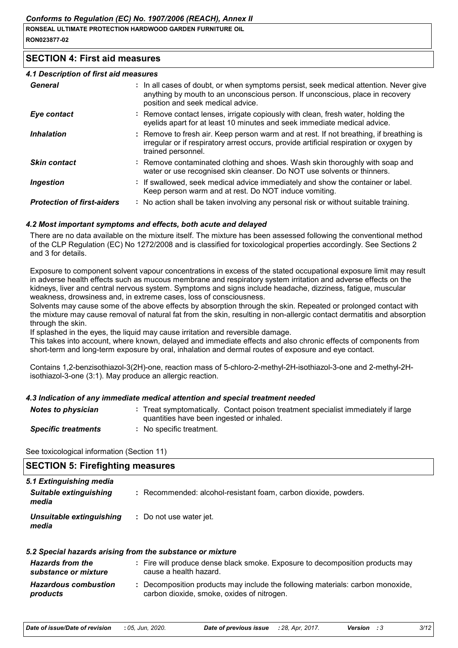## **SECTION 4: First aid measures**

#### *4.1 Description of first aid measures*

| General                           | : In all cases of doubt, or when symptoms persist, seek medical attention. Never give<br>anything by mouth to an unconscious person. If unconscious, place in recovery<br>position and seek medical advice. |
|-----------------------------------|-------------------------------------------------------------------------------------------------------------------------------------------------------------------------------------------------------------|
| Eye contact                       | : Remove contact lenses, irrigate copiously with clean, fresh water, holding the<br>eyelids apart for at least 10 minutes and seek immediate medical advice.                                                |
| <b>Inhalation</b>                 | : Remove to fresh air. Keep person warm and at rest. If not breathing, if breathing is<br>irregular or if respiratory arrest occurs, provide artificial respiration or oxygen by<br>trained personnel.      |
| <b>Skin contact</b>               | : Remove contaminated clothing and shoes. Wash skin thoroughly with soap and<br>water or use recognised skin cleanser. Do NOT use solvents or thinners.                                                     |
| Ingestion                         | : If swallowed, seek medical advice immediately and show the container or label.<br>Keep person warm and at rest. Do NOT induce vomiting.                                                                   |
| <b>Protection of first-aiders</b> | : No action shall be taken involving any personal risk or without suitable training.                                                                                                                        |

#### *4.2 Most important symptoms and effects, both acute and delayed*

There are no data available on the mixture itself. The mixture has been assessed following the conventional method of the CLP Regulation (EC) No 1272/2008 and is classified for toxicological properties accordingly. See Sections 2 and 3 for details.

Exposure to component solvent vapour concentrations in excess of the stated occupational exposure limit may result in adverse health effects such as mucous membrane and respiratory system irritation and adverse effects on the kidneys, liver and central nervous system. Symptoms and signs include headache, dizziness, fatigue, muscular weakness, drowsiness and, in extreme cases, loss of consciousness.

Solvents may cause some of the above effects by absorption through the skin. Repeated or prolonged contact with the mixture may cause removal of natural fat from the skin, resulting in non-allergic contact dermatitis and absorption through the skin.

If splashed in the eyes, the liquid may cause irritation and reversible damage.

This takes into account, where known, delayed and immediate effects and also chronic effects of components from short-term and long-term exposure by oral, inhalation and dermal routes of exposure and eye contact.

Contains 1,2-benzisothiazol-3(2H)-one, reaction mass of 5-chloro-2-methyl-2H-isothiazol-3-one and 2-methyl-2Hisothiazol-3-one (3:1). May produce an allergic reaction.

## *4.3 Indication of any immediate medical attention and special treatment needed*

| <b>Notes to physician</b>  | : Treat symptomatically. Contact poison treatment specialist immediately if large |
|----------------------------|-----------------------------------------------------------------------------------|
|                            | quantities have been ingested or inhaled.                                         |
| <b>Specific treatments</b> | No specific treatment.                                                            |

See toxicological information (Section 11)

| <b>SECTION 5: Firefighting measures</b> |                                                                 |  |
|-----------------------------------------|-----------------------------------------------------------------|--|
| 5.1 Extinguishing media                 |                                                                 |  |
| Suitable extinguishing<br>media         | : Recommended: alcohol-resistant foam, carbon dioxide, powders. |  |
| Unsuitable extinguishing<br>media       | : Do not use water jet.                                         |  |

| 5.2 Special hazards arising from the substance or mixture |                                                                                                                              |
|-----------------------------------------------------------|------------------------------------------------------------------------------------------------------------------------------|
| <b>Hazards from the</b><br>substance or mixture           | : Fire will produce dense black smoke. Exposure to decomposition products may<br>cause a health hazard.                      |
| <b>Hazardous combustion</b><br>products                   | : Decomposition products may include the following materials: carbon monoxide,<br>carbon dioxide, smoke, oxides of nitrogen. |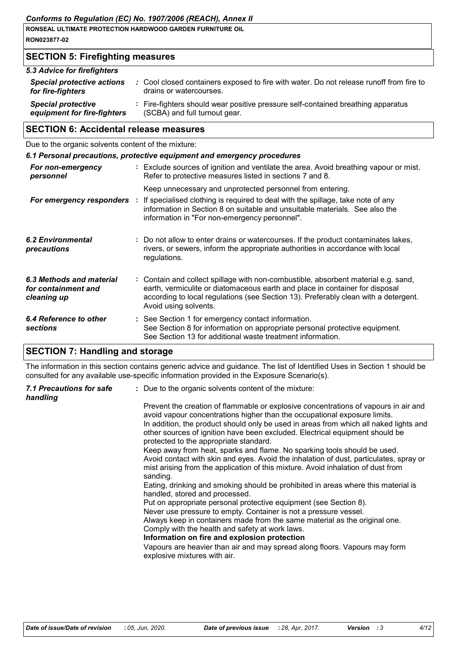| RONSEAL ULTIMATE PROTECTION HARDWOOD GARDEN FURNITURE OIL |  |
|-----------------------------------------------------------|--|
| RON023877-02                                              |  |

# **SECTION 5: Firefighting measures**

| 5.3 Advice for firefighters       |                                                                                         |
|-----------------------------------|-----------------------------------------------------------------------------------------|
| <b>Special protective actions</b> | : Cool closed containers exposed to fire with water. Do not release runoff from fire to |
| for fire-fighters                 | drains or watercourses.                                                                 |
| <b>Special protective</b>         | : Fire-fighters should wear positive pressure self-contained breathing apparatus        |
| equipment for fire-fighters       | (SCBA) and full turnout gear.                                                           |

## **SECTION 6: Accidental release measures**

Due to the organic solvents content of the mixture:

|                                                                | 6.1 Personal precautions, protective equipment and emergency procedures                                                                                                                                                                                                            |
|----------------------------------------------------------------|------------------------------------------------------------------------------------------------------------------------------------------------------------------------------------------------------------------------------------------------------------------------------------|
| For non-emergency<br>personnel                                 | : Exclude sources of ignition and ventilate the area. Avoid breathing vapour or mist.<br>Refer to protective measures listed in sections 7 and 8.                                                                                                                                  |
|                                                                | Keep unnecessary and unprotected personnel from entering.                                                                                                                                                                                                                          |
|                                                                | <b>For emergency responders</b> : If specialised clothing is required to deal with the spillage, take note of any<br>information in Section 8 on suitable and unsuitable materials. See also the<br>information in "For non-emergency personnel".                                  |
| 6.2 Environmental<br>precautions                               | : Do not allow to enter drains or watercourses. If the product contaminates lakes,<br>rivers, or sewers, inform the appropriate authorities in accordance with local<br>regulations.                                                                                               |
| 6.3 Methods and material<br>for containment and<br>cleaning up | : Contain and collect spillage with non-combustible, absorbent material e.g. sand,<br>earth, vermiculite or diatomaceous earth and place in container for disposal<br>according to local regulations (see Section 13). Preferably clean with a detergent.<br>Avoid using solvents. |
| 6.4 Reference to other<br><b>sections</b>                      | : See Section 1 for emergency contact information.<br>See Section 8 for information on appropriate personal protective equipment.<br>See Section 13 for additional waste treatment information.                                                                                    |

# **SECTION 7: Handling and storage**

The information in this section contains generic advice and guidance. The list of Identified Uses in Section 1 should be consulted for any available use-specific information provided in the Exposure Scenario(s).

| handling |                                                                                                                                                                                                                                                                                                                                                                                                                                                                                                                                                                                                                                                                                                                                                |
|----------|------------------------------------------------------------------------------------------------------------------------------------------------------------------------------------------------------------------------------------------------------------------------------------------------------------------------------------------------------------------------------------------------------------------------------------------------------------------------------------------------------------------------------------------------------------------------------------------------------------------------------------------------------------------------------------------------------------------------------------------------|
|          | Prevent the creation of flammable or explosive concentrations of vapours in air and<br>avoid vapour concentrations higher than the occupational exposure limits.<br>In addition, the product should only be used in areas from which all naked lights and<br>other sources of ignition have been excluded. Electrical equipment should be<br>protected to the appropriate standard.<br>Keep away from heat, sparks and flame. No sparking tools should be used.<br>Avoid contact with skin and eyes. Avoid the inhalation of dust, particulates, spray or<br>mist arising from the application of this mixture. Avoid inhalation of dust from<br>sanding.<br>Eating, drinking and smoking should be prohibited in areas where this material is |
|          | handled, stored and processed.<br>Put on appropriate personal protective equipment (see Section 8).<br>Never use pressure to empty. Container is not a pressure vessel.                                                                                                                                                                                                                                                                                                                                                                                                                                                                                                                                                                        |
|          | Always keep in containers made from the same material as the original one.<br>Comply with the health and safety at work laws.<br>Information on fire and explosion protection<br>Vapours are heavier than air and may spread along floors. Vapours may form<br>explosive mixtures with air.                                                                                                                                                                                                                                                                                                                                                                                                                                                    |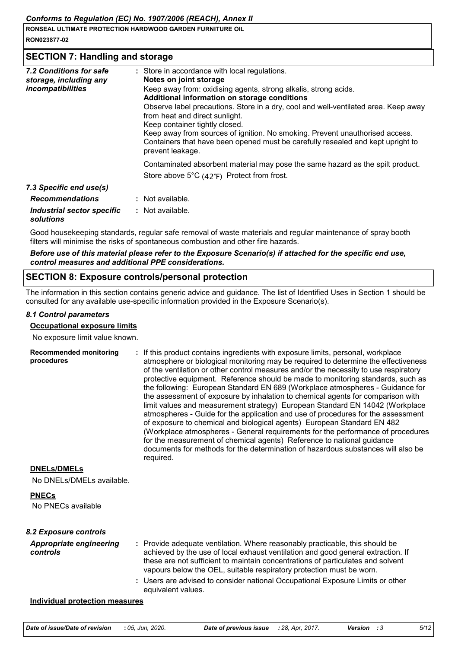| <b>I RONSEAL ULTIMATE PROTECTION HARDWOOD GARDEN FURNITURE OIL</b> |  |
|--------------------------------------------------------------------|--|
| RON023877-02                                                       |  |
| <b>SECTION 7: Handling and storage</b>                             |  |

| 7.2 Conditions for safe<br>storage, including any<br>incompatibilities | : Store in accordance with local regulations.<br>Notes on joint storage<br>Keep away from: oxidising agents, strong alkalis, strong acids.<br>Additional information on storage conditions<br>Observe label precautions. Store in a dry, cool and well-ventilated area. Keep away<br>from heat and direct sunlight.<br>Keep container tightly closed.<br>Keep away from sources of ignition. No smoking. Prevent unauthorised access.<br>Containers that have been opened must be carefully resealed and kept upright to<br>prevent leakage. |  |
|------------------------------------------------------------------------|----------------------------------------------------------------------------------------------------------------------------------------------------------------------------------------------------------------------------------------------------------------------------------------------------------------------------------------------------------------------------------------------------------------------------------------------------------------------------------------------------------------------------------------------|--|
|                                                                        | Contaminated absorbent material may pose the same hazard as the spilt product.<br>Store above $5^{\circ}C$ (42 $^{\circ}F$ ) Protect from frost.                                                                                                                                                                                                                                                                                                                                                                                             |  |
| 7.3 Specific end use(s)                                                |                                                                                                                                                                                                                                                                                                                                                                                                                                                                                                                                              |  |
| <b>Recommendations</b>                                                 | : Not available.                                                                                                                                                                                                                                                                                                                                                                                                                                                                                                                             |  |
| Industrial sector specific<br>solutions                                | : Not available.                                                                                                                                                                                                                                                                                                                                                                                                                                                                                                                             |  |

Good housekeeping standards, regular safe removal of waste materials and regular maintenance of spray booth filters will minimise the risks of spontaneous combustion and other fire hazards.

*Before use of this material please refer to the Exposure Scenario(s) if attached for the specific end use, control measures and additional PPE considerations.*

## **SECTION 8: Exposure controls/personal protection**

The information in this section contains generic advice and guidance. The list of Identified Uses in Section 1 should be consulted for any available use-specific information provided in the Exposure Scenario(s).

## *8.1 Control parameters*

#### **Occupational exposure limits**

No exposure limit value known.

| <b>Recommended monitoring</b><br>procedures | : If this product contains ingredients with exposure limits, personal, workplace<br>atmosphere or biological monitoring may be required to determine the effectiveness<br>of the ventilation or other control measures and/or the necessity to use respiratory<br>protective equipment. Reference should be made to monitoring standards, such as<br>the following: European Standard EN 689 (Workplace atmospheres - Guidance for<br>the assessment of exposure by inhalation to chemical agents for comparison with<br>limit values and measurement strategy) European Standard EN 14042 (Workplace<br>atmospheres - Guide for the application and use of procedures for the assessment<br>of exposure to chemical and biological agents) European Standard EN 482<br>(Workplace atmospheres - General requirements for the performance of procedures<br>for the measurement of chemical agents) Reference to national guidance<br>documents for methods for the determination of hazardous substances will also be<br>required. |
|---------------------------------------------|------------------------------------------------------------------------------------------------------------------------------------------------------------------------------------------------------------------------------------------------------------------------------------------------------------------------------------------------------------------------------------------------------------------------------------------------------------------------------------------------------------------------------------------------------------------------------------------------------------------------------------------------------------------------------------------------------------------------------------------------------------------------------------------------------------------------------------------------------------------------------------------------------------------------------------------------------------------------------------------------------------------------------------|
| <b>DNELs/DMELs</b>                          |                                                                                                                                                                                                                                                                                                                                                                                                                                                                                                                                                                                                                                                                                                                                                                                                                                                                                                                                                                                                                                    |
| No DNELs/DMELs available.                   |                                                                                                                                                                                                                                                                                                                                                                                                                                                                                                                                                                                                                                                                                                                                                                                                                                                                                                                                                                                                                                    |
| <b>PNECs</b><br>No PNECs available          |                                                                                                                                                                                                                                                                                                                                                                                                                                                                                                                                                                                                                                                                                                                                                                                                                                                                                                                                                                                                                                    |
| 8.2 Exposure controls                       |                                                                                                                                                                                                                                                                                                                                                                                                                                                                                                                                                                                                                                                                                                                                                                                                                                                                                                                                                                                                                                    |
| <b>Appropriate engineering</b><br>controls  | : Provide adequate ventilation. Where reasonably practicable, this should be<br>achieved by the use of local exhaust ventilation and good general extraction. If<br>these are not sufficient to maintain concentrations of particulates and solvent<br>vapours below the OEL, suitable respiratory protection must be worn.                                                                                                                                                                                                                                                                                                                                                                                                                                                                                                                                                                                                                                                                                                        |
|                                             | : Users are advised to consider national Occupational Exposure Limits or other<br>equivalent values.                                                                                                                                                                                                                                                                                                                                                                                                                                                                                                                                                                                                                                                                                                                                                                                                                                                                                                                               |
| <b>Individual protection measures</b>       |                                                                                                                                                                                                                                                                                                                                                                                                                                                                                                                                                                                                                                                                                                                                                                                                                                                                                                                                                                                                                                    |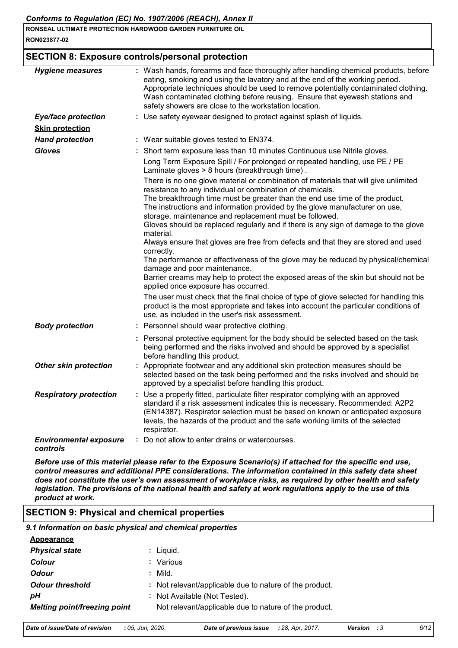## **SECTION 8: Exposure controls/personal protection**

| <b>Hygiene measures</b>                              | : Wash hands, forearms and face thoroughly after handling chemical products, before<br>eating, smoking and using the lavatory and at the end of the working period.<br>Appropriate techniques should be used to remove potentially contaminated clothing.<br>Wash contaminated clothing before reusing. Ensure that eyewash stations and<br>safety showers are close to the workstation location. |
|------------------------------------------------------|---------------------------------------------------------------------------------------------------------------------------------------------------------------------------------------------------------------------------------------------------------------------------------------------------------------------------------------------------------------------------------------------------|
| <b>Eye/face protection</b><br><b>Skin protection</b> | : Use safety eyewear designed to protect against splash of liquids.                                                                                                                                                                                                                                                                                                                               |
| <b>Hand protection</b>                               | : Wear suitable gloves tested to EN374.                                                                                                                                                                                                                                                                                                                                                           |
| <b>Gloves</b>                                        | : Short term exposure less than 10 minutes Continuous use Nitrile gloves.                                                                                                                                                                                                                                                                                                                         |
|                                                      | Long Term Exposure Spill / For prolonged or repeated handling, use PE / PE<br>Laminate gloves > 8 hours (breakthrough time).                                                                                                                                                                                                                                                                      |
|                                                      | There is no one glove material or combination of materials that will give unlimited<br>resistance to any individual or combination of chemicals.                                                                                                                                                                                                                                                  |
|                                                      | The breakthrough time must be greater than the end use time of the product.<br>The instructions and information provided by the glove manufacturer on use,                                                                                                                                                                                                                                        |
|                                                      | storage, maintenance and replacement must be followed.<br>Gloves should be replaced regularly and if there is any sign of damage to the glove<br>material.                                                                                                                                                                                                                                        |
|                                                      | Always ensure that gloves are free from defects and that they are stored and used<br>correctly.                                                                                                                                                                                                                                                                                                   |
|                                                      | The performance or effectiveness of the glove may be reduced by physical/chemical<br>damage and poor maintenance.                                                                                                                                                                                                                                                                                 |
|                                                      | Barrier creams may help to protect the exposed areas of the skin but should not be<br>applied once exposure has occurred.                                                                                                                                                                                                                                                                         |
|                                                      | The user must check that the final choice of type of glove selected for handling this<br>product is the most appropriate and takes into account the particular conditions of<br>use, as included in the user's risk assessment.                                                                                                                                                                   |
| <b>Body protection</b>                               | : Personnel should wear protective clothing.                                                                                                                                                                                                                                                                                                                                                      |
|                                                      | : Personal protective equipment for the body should be selected based on the task<br>being performed and the risks involved and should be approved by a specialist<br>before handling this product.                                                                                                                                                                                               |
| <b>Other skin protection</b>                         | : Appropriate footwear and any additional skin protection measures should be<br>selected based on the task being performed and the risks involved and should be<br>approved by a specialist before handling this product.                                                                                                                                                                         |
| <b>Respiratory protection</b>                        | : Use a properly fitted, particulate filter respirator complying with an approved<br>standard if a risk assessment indicates this is necessary. Recommended: A2P2<br>(EN14387). Respirator selection must be based on known or anticipated exposure<br>levels, the hazards of the product and the safe working limits of the selected<br>respirator.                                              |
| <b>Environmental exposure</b><br>controls            | : Do not allow to enter drains or watercourses.                                                                                                                                                                                                                                                                                                                                                   |

*Before use of this material please refer to the Exposure Scenario(s) if attached for the specific end use, control measures and additional PPE considerations. The information contained in this safety data sheet does not constitute the user's own assessment of workplace risks, as required by other health and safety legislation. The provisions of the national health and safety at work regulations apply to the use of this product at work.*

## **SECTION 9: Physical and chemical properties**

*9.1 Information on basic physical and chemical properties*

| <b>Appearance</b>            |                                                         |
|------------------------------|---------------------------------------------------------|
| <b>Physical state</b>        | : Liguid.                                               |
| Colour                       | : Various                                               |
| <b>Odour</b>                 | : Mild.                                                 |
| <b>Odour threshold</b>       | : Not relevant/applicable due to nature of the product. |
| рH                           | : Not Available (Not Tested).                           |
| Melting point/freezing point | Not relevant/applicable due to nature of the product.   |
|                              |                                                         |

| Date of issue/Date of revision<br><b>Date of previous issue</b> : 28, Apr, 2017.<br>: 05. Jun. 2020.<br><b>Version</b> : 3 | 6/12 |
|----------------------------------------------------------------------------------------------------------------------------|------|
|----------------------------------------------------------------------------------------------------------------------------|------|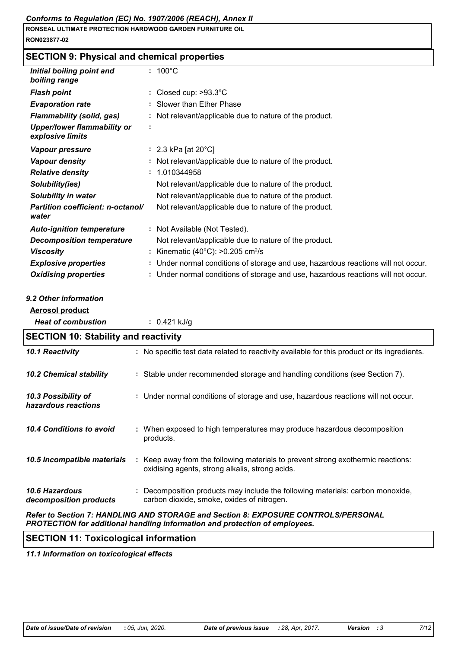# **SECTION 9: Physical and chemical properties**

| Initial boiling point and<br>boiling range                                                                                                                                                                                         | $: 100^{\circ}$ C                                                                                                                   |
|------------------------------------------------------------------------------------------------------------------------------------------------------------------------------------------------------------------------------------|-------------------------------------------------------------------------------------------------------------------------------------|
| <b>Flash point</b>                                                                                                                                                                                                                 | Closed cup: $>93.3^{\circ}$ C                                                                                                       |
| <b>Evaporation rate</b>                                                                                                                                                                                                            | Slower than Ether Phase                                                                                                             |
| <b>Flammability (solid, gas)</b>                                                                                                                                                                                                   | Not relevant/applicable due to nature of the product.                                                                               |
| <b>Upper/lower flammability or</b><br>explosive limits                                                                                                                                                                             |                                                                                                                                     |
| Vapour pressure                                                                                                                                                                                                                    | : 2.3 kPa [at $20^{\circ}$ C]                                                                                                       |
| <b>Vapour density</b>                                                                                                                                                                                                              | : Not relevant/applicable due to nature of the product.                                                                             |
| <b>Relative density</b>                                                                                                                                                                                                            | 1.010344958                                                                                                                         |
| Solubility(ies)                                                                                                                                                                                                                    | Not relevant/applicable due to nature of the product.                                                                               |
| <b>Solubility in water</b>                                                                                                                                                                                                         | Not relevant/applicable due to nature of the product.                                                                               |
| Partition coefficient: n-octanol/<br>water                                                                                                                                                                                         | Not relevant/applicable due to nature of the product.                                                                               |
| <b>Auto-ignition temperature</b>                                                                                                                                                                                                   | : Not Available (Not Tested).                                                                                                       |
| <b>Decomposition temperature</b>                                                                                                                                                                                                   | Not relevant/applicable due to nature of the product.                                                                               |
| <b>Viscosity</b>                                                                                                                                                                                                                   | : Kinematic (40°C): >0.205 cm <sup>2</sup> /s                                                                                       |
|                                                                                                                                                                                                                                    |                                                                                                                                     |
| <b>Explosive properties</b>                                                                                                                                                                                                        | Under normal conditions of storage and use, hazardous reactions will not occur.                                                     |
| <b>Oxidising properties</b>                                                                                                                                                                                                        | Under normal conditions of storage and use, hazardous reactions will not occur.                                                     |
|                                                                                                                                                                                                                                    |                                                                                                                                     |
| <b>Aerosol product</b>                                                                                                                                                                                                             |                                                                                                                                     |
| <b>Heat of combustion</b>                                                                                                                                                                                                          | : $0.421$ kJ/g                                                                                                                      |
|                                                                                                                                                                                                                                    |                                                                                                                                     |
|                                                                                                                                                                                                                                    | : No specific test data related to reactivity available for this product or its ingredients.                                        |
|                                                                                                                                                                                                                                    | : Stable under recommended storage and handling conditions (see Section 7).                                                         |
|                                                                                                                                                                                                                                    | : Under normal conditions of storage and use, hazardous reactions will not occur.                                                   |
|                                                                                                                                                                                                                                    | : When exposed to high temperatures may produce hazardous decomposition<br>products.                                                |
| 9.2 Other information<br><b>SECTION 10: Stability and reactivity</b><br>10.1 Reactivity<br><b>10.2 Chemical stability</b><br>10.3 Possibility of<br>hazardous reactions<br>10.4 Conditions to avoid<br>10.5 Incompatible materials | : Keep away from the following materials to prevent strong exothermic reactions:<br>oxidising agents, strong alkalis, strong acids. |

*Refer to Section 7: HANDLING AND STORAGE and Section 8: EXPOSURE CONTROLS/PERSONAL PROTECTION for additional handling information and protection of employees.*

## **SECTION 11: Toxicological information**

*11.1 Information on toxicological effects*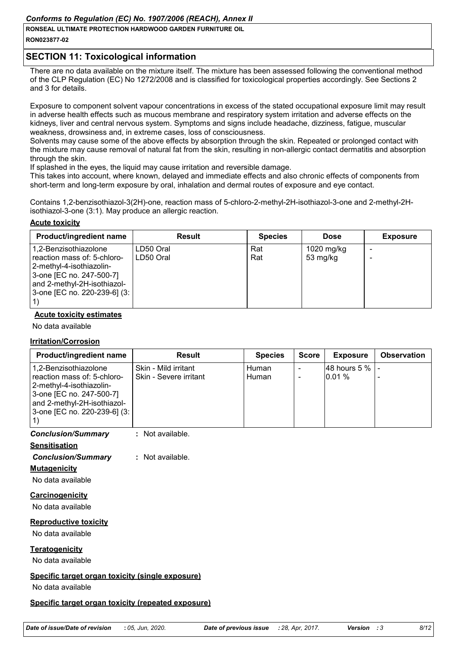## *Conforms to Regulation (EC) No. 1907/2006 (REACH), Annex II*

**RONSEAL ULTIMATE PROTECTION HARDWOOD GARDEN FURNITURE OIL**

#### **RON023877-02**

# **SECTION 11: Toxicological information**

There are no data available on the mixture itself. The mixture has been assessed following the conventional method of the CLP Regulation (EC) No 1272/2008 and is classified for toxicological properties accordingly. See Sections 2 and 3 for details.

Exposure to component solvent vapour concentrations in excess of the stated occupational exposure limit may result in adverse health effects such as mucous membrane and respiratory system irritation and adverse effects on the kidneys, liver and central nervous system. Symptoms and signs include headache, dizziness, fatigue, muscular weakness, drowsiness and, in extreme cases, loss of consciousness.

Solvents may cause some of the above effects by absorption through the skin. Repeated or prolonged contact with the mixture may cause removal of natural fat from the skin, resulting in non-allergic contact dermatitis and absorption through the skin.

If splashed in the eyes, the liquid may cause irritation and reversible damage.

This takes into account, where known, delayed and immediate effects and also chronic effects of components from short-term and long-term exposure by oral, inhalation and dermal routes of exposure and eye contact.

Contains 1,2-benzisothiazol-3(2H)-one, reaction mass of 5-chloro-2-methyl-2H-isothiazol-3-one and 2-methyl-2Hisothiazol-3-one (3:1). May produce an allergic reaction.

## **Acute toxicity**

| <b>Product/ingredient name</b>                                                                                                                                                | <b>Result</b>          | <b>Species</b> | <b>Dose</b>            | <b>Exposure</b> |
|-------------------------------------------------------------------------------------------------------------------------------------------------------------------------------|------------------------|----------------|------------------------|-----------------|
| 1,2-Benzisothiazolone<br>reaction mass of: 5-chloro-<br>2-methyl-4-isothiazolin-<br>3-one [EC no. 247-500-7]<br>and 2-methyl-2H-isothiazol-<br>  3-one [EC no. 220-239-6] (3: | LD50 Oral<br>LD50 Oral | Rat<br>Rat     | 1020 mg/kg<br>53 mg/kg |                 |

## **Acute toxicity estimates**

No data available

## **Irritation/Corrosion**

| <b>Product/ingredient name</b>                                                                                                                                              | Result                                         | <b>Species</b> | <b>Score</b> | <b>Exposure</b>              | <b>Observation</b> |
|-----------------------------------------------------------------------------------------------------------------------------------------------------------------------------|------------------------------------------------|----------------|--------------|------------------------------|--------------------|
| 1,2-Benzisothiazolone<br>reaction mass of: 5-chloro-<br>2-methyl-4-isothiazolin-<br>3-one [EC no. 247-500-7]<br>and 2-methyl-2H-isothiazol-<br>3-one [EC no. 220-239-6] (3: | Skin - Mild irritant<br>Skin - Severe irritant | Human<br>Human |              | 48 hours $5\%$   -<br>10.01% |                    |

## *Conclusion/Summary* **:** Not available.

## **Sensitisation**

*Conclusion/Summary* **:** Not available.

## **Mutagenicity**

No data available

## **Carcinogenicity**

No data available

## **Reproductive toxicity**

No data available

## **Teratogenicity**

No data available

## **Specific target organ toxicity (single exposure)**

No data available

## **Specific target organ toxicity (repeated exposure)**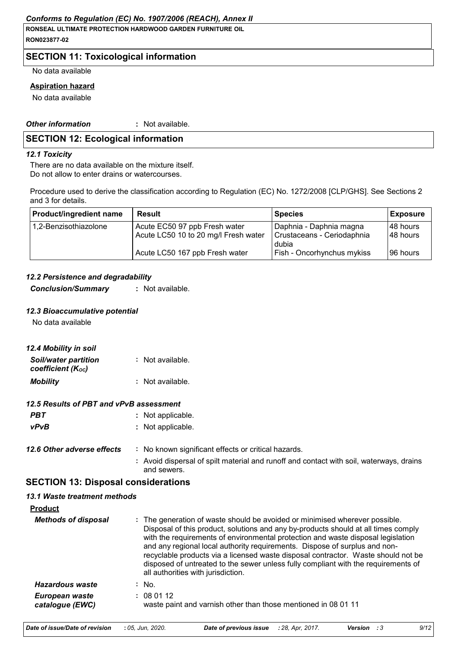## **SECTION 11: Toxicological information**

No data available

#### **Aspiration hazard**

No data available

*Other information* **:** Not available.

## **SECTION 12: Ecological information**

#### *12.1 Toxicity*

There are no data available on the mixture itself. Do not allow to enter drains or watercourses.

Procedure used to derive the classification according to Regulation (EC) No. 1272/2008 [CLP/GHS]. See Sections 2 and 3 for details.

| <b>Product/ingredient name</b> | <b>Result</b>                        | <b>Species</b>                    | Exposure  |
|--------------------------------|--------------------------------------|-----------------------------------|-----------|
| 1,2-Benzisothiazolone          | Acute EC50 97 ppb Fresh water        | Daphnia - Daphnia magna           | 148 hours |
|                                | Acute LC50 10 to 20 mg/l Fresh water | Crustaceans - Ceriodaphnia        | 148 hours |
|                                |                                      | dubia                             |           |
|                                | Acute LC50 167 ppb Fresh water       | <b>Fish - Oncorhynchus mykiss</b> | 196 hours |

#### *12.2 Persistence and degradability*

*Conclusion/Summary* **:** Not available.

#### *12.3 Bioaccumulative potential*

No data available

| 12.4 Mobility in soil                            |                  |
|--------------------------------------------------|------------------|
| <b>Soil/water partition</b><br>coefficient (Koc) | : Not available. |
| <b>Mobility</b>                                  | : Not available. |

#### *12.5 Results of PBT and vPvB assessment*

| PBT         | : Not applicable. |
|-------------|-------------------|
| <b>vPvB</b> | : Not applicable. |

| 12.6 Other adverse effects | : No known significant effects or critical hazards.               |  |
|----------------------------|-------------------------------------------------------------------|--|
|                            | Avoid disporsal of spilt material and rupoff and contact with set |  |

**:** Avoid dispersal of spilt material and runoff and contact with soil, waterways, drains and sewers.

## **SECTION 13: Disposal considerations**

#### *13.1 Waste treatment methods*

| <b>Product</b>                    |                                                                                                                                                                                                                                                                                                                                                                                                                                                                                                                                                      |
|-----------------------------------|------------------------------------------------------------------------------------------------------------------------------------------------------------------------------------------------------------------------------------------------------------------------------------------------------------------------------------------------------------------------------------------------------------------------------------------------------------------------------------------------------------------------------------------------------|
| <b>Methods of disposal</b>        | : The generation of waste should be avoided or minimised wherever possible.<br>Disposal of this product, solutions and any by-products should at all times comply<br>with the requirements of environmental protection and waste disposal legislation<br>and any regional local authority requirements. Dispose of surplus and non-<br>recyclable products via a licensed waste disposal contractor. Waste should not be<br>disposed of untreated to the sewer unless fully compliant with the requirements of<br>all authorities with jurisdiction. |
| Hazardous waste                   | $:$ No.                                                                                                                                                                                                                                                                                                                                                                                                                                                                                                                                              |
| European waste<br>catalogue (EWC) | : 080112<br>waste paint and varnish other than those mentioned in 08 01 11                                                                                                                                                                                                                                                                                                                                                                                                                                                                           |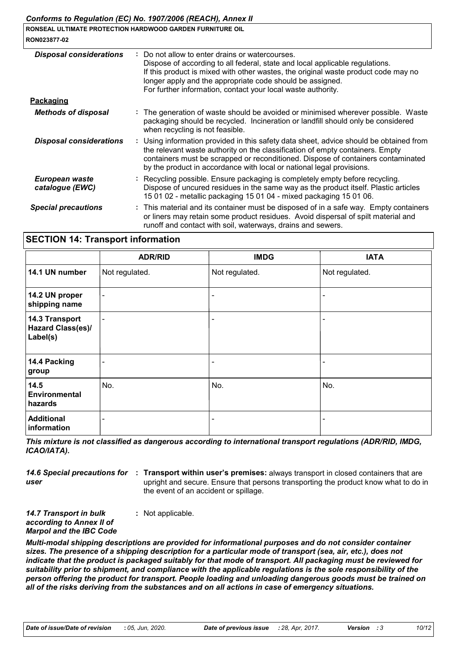| RON023877-02                      | Comorms to Requiation (EC) No. 1907/2000 (REACH), Annex II<br>RONSEAL ULTIMATE PROTECTION HARDWOOD GARDEN FURNITURE OIL                                                                                                                                                                                                                          |
|-----------------------------------|--------------------------------------------------------------------------------------------------------------------------------------------------------------------------------------------------------------------------------------------------------------------------------------------------------------------------------------------------|
| <b>Disposal considerations</b>    | Do not allow to enter drains or watercourses.<br>Dispose of according to all federal, state and local applicable regulations.<br>If this product is mixed with other wastes, the original waste product code may no<br>longer apply and the appropriate code should be assigned.<br>For further information, contact your local waste authority. |
| Packaging                         |                                                                                                                                                                                                                                                                                                                                                  |
| <b>Methods of disposal</b>        | : The generation of waste should be avoided or minimised wherever possible. Waste<br>packaging should be recycled. Incineration or landfill should only be considered<br>when recycling is not feasible.                                                                                                                                         |
| <b>Disposal considerations</b>    | : Using information provided in this safety data sheet, advice should be obtained from<br>the relevant waste authority on the classification of empty containers. Empty<br>containers must be scrapped or reconditioned. Dispose of containers contaminated<br>by the product in accordance with local or national legal provisions.             |
| European waste<br>catalogue (EWC) | : Recycling possible. Ensure packaging is completely empty before recycling.<br>Dispose of uncured residues in the same way as the product itself. Plastic articles<br>15 01 02 - metallic packaging 15 01 04 - mixed packaging 15 01 06.                                                                                                        |
| <b>Special precautions</b>        | : This material and its container must be disposed of in a safe way. Empty containers<br>or liners may retain some product residues. Avoid dispersal of spilt material and<br>runoff and contact with soil, waterways, drains and sewers.                                                                                                        |

## **SECTION 14: Transport information**

|                                                 | <b>ADR/RID</b>           | <b>IMDG</b>              | <b>IATA</b>    |
|-------------------------------------------------|--------------------------|--------------------------|----------------|
| 14.1 UN number                                  | Not regulated.           | Not regulated.           | Not regulated. |
| 14.2 UN proper<br>shipping name                 | $\overline{\phantom{a}}$ | $\overline{\phantom{0}}$ |                |
| 14.3 Transport<br>Hazard Class(es)/<br>Label(s) |                          | -                        |                |
| 14.4 Packing<br>group                           |                          | $\overline{\phantom{a}}$ |                |
| 14.5<br><b>Environmental</b><br>hazards         | No.                      | No.                      | No.            |
| <b>Additional</b><br>information                |                          | $\overline{\phantom{a}}$ |                |

*This mixture is not classified as dangerous according to international transport regulations (ADR/RID, IMDG, ICAO/IATA).*

14.6 Special precautions for : Transport within user's premises: always transport in closed containers that are *user* upright and secure. Ensure that persons transporting the product know what to do in the event of an accident or spillage.

*14.7 Transport in bulk according to Annex II of Marpol and the IBC Code* **:** Not applicable.

*Multi-modal shipping descriptions are provided for informational purposes and do not consider container sizes. The presence of a shipping description for a particular mode of transport (sea, air, etc.), does not indicate that the product is packaged suitably for that mode of transport. All packaging must be reviewed for suitability prior to shipment, and compliance with the applicable regulations is the sole responsibility of the person offering the product for transport. People loading and unloading dangerous goods must be trained on all of the risks deriving from the substances and on all actions in case of emergency situations.*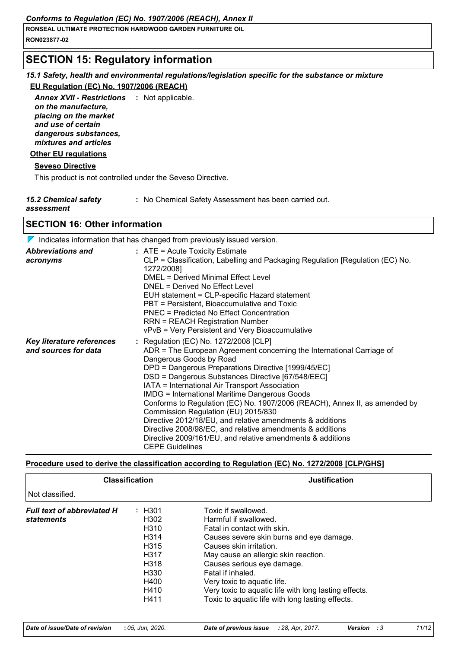# **SECTION 15: Regulatory information**

## *15.1 Safety, health and environmental regulations/legislation specific for the substance or mixture*

## **EU Regulation (EC) No. 1907/2006 (REACH)**

Annex XVII - Restrictions : Not applicable. *on the manufacture, placing on the market and use of certain dangerous substances, mixtures and articles*

## **Other EU regulations**

## **Seveso Directive**

This product is not controlled under the Seveso Directive.

| <b>15.2 Chemical safety</b> | : No Chemical Safety Assessment has been carried out. |
|-----------------------------|-------------------------------------------------------|
|-----------------------------|-------------------------------------------------------|

## *assessment*

## **SECTION 16: Other information**

 $\nabla$  Indicates information that has changed from previously issued version.

| <b>Abbreviations and</b><br>acronyms              | $:$ ATE = Acute Toxicity Estimate<br>CLP = Classification, Labelling and Packaging Regulation [Regulation (EC) No.<br>1272/2008]<br>DMEL = Derived Minimal Effect Level<br>DNEL = Derived No Effect Level<br>EUH statement = CLP-specific Hazard statement<br>PBT = Persistent, Bioaccumulative and Toxic<br><b>PNEC = Predicted No Effect Concentration</b><br><b>RRN = REACH Registration Number</b><br>vPvB = Very Persistent and Very Bioaccumulative                                                                                                                                                                                                                                              |
|---------------------------------------------------|--------------------------------------------------------------------------------------------------------------------------------------------------------------------------------------------------------------------------------------------------------------------------------------------------------------------------------------------------------------------------------------------------------------------------------------------------------------------------------------------------------------------------------------------------------------------------------------------------------------------------------------------------------------------------------------------------------|
| Key literature references<br>and sources for data | : Regulation (EC) No. 1272/2008 [CLP]<br>ADR = The European Agreement concerning the International Carriage of<br>Dangerous Goods by Road<br>DPD = Dangerous Preparations Directive [1999/45/EC]<br>DSD = Dangerous Substances Directive [67/548/EEC]<br>IATA = International Air Transport Association<br><b>IMDG = International Maritime Dangerous Goods</b><br>Conforms to Regulation (EC) No. 1907/2006 (REACH), Annex II, as amended by<br>Commission Regulation (EU) 2015/830<br>Directive 2012/18/EU, and relative amendments & additions<br>Directive 2008/98/EC, and relative amendments & additions<br>Directive 2009/161/EU, and relative amendments & additions<br><b>CEPE Guidelines</b> |

## **Procedure used to derive the classification according to Regulation (EC) No. 1272/2008 [CLP/GHS]**

|                                                        | <b>Classification</b>                                                                                                                               | <b>Justification</b>                                                                                                                                                                                                                                                                                                                                                                      |
|--------------------------------------------------------|-----------------------------------------------------------------------------------------------------------------------------------------------------|-------------------------------------------------------------------------------------------------------------------------------------------------------------------------------------------------------------------------------------------------------------------------------------------------------------------------------------------------------------------------------------------|
| Not classified.                                        |                                                                                                                                                     |                                                                                                                                                                                                                                                                                                                                                                                           |
| <b>Full text of abbreviated H</b><br><b>statements</b> | : H301<br>H <sub>302</sub><br>H <sub>310</sub><br>H <sub>3</sub> 14<br>H <sub>315</sub><br>H317<br>H318<br>H <sub>330</sub><br>H400<br>H410<br>H411 | Toxic if swallowed.<br>Harmful if swallowed.<br>Fatal in contact with skin.<br>Causes severe skin burns and eye damage.<br>Causes skin irritation.<br>May cause an allergic skin reaction.<br>Causes serious eye damage.<br>Fatal if inhaled.<br>Very toxic to aquatic life.<br>Very toxic to aquatic life with long lasting effects.<br>Toxic to aquatic life with long lasting effects. |